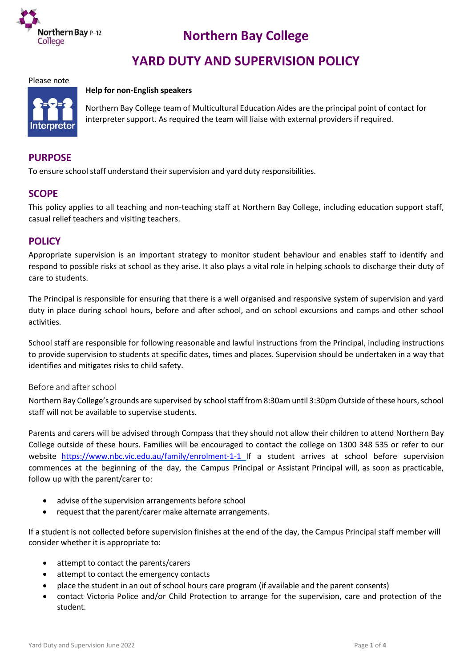

# **Northern Bay College**

# **YARD DUTY AND SUPERVISION POLICY**

#### Please note

#### **Help for non-English speakers**



Northern Bay College team of Multicultural Education Aides are the principal point of contact for interpreter support. As required the team will liaise with external providers if required.

# **PURPOSE**

To ensure school staff understand their supervision and yard duty responsibilities.

## **SCOPE**

This policy applies to all teaching and non-teaching staff at Northern Bay College, including education support staff, casual relief teachers and visiting teachers.

## **POLICY**

Appropriate supervision is an important strategy to monitor student behaviour and enables staff to identify and respond to possible risks at school as they arise. It also plays a vital role in helping schools to discharge their duty of care to students.

The Principal is responsible for ensuring that there is a well organised and responsive system of supervision and yard duty in place during school hours, before and after school, and on school excursions and camps and other school activities.

School staff are responsible for following reasonable and lawful instructions from the Principal, including instructions to provide supervision to students at specific dates, times and places. Supervision should be undertaken in a way that identifies and mitigates risks to child safety.

#### Before and after school

Northern Bay College's grounds are supervised by school staff from 8:30am until 3:30pm Outside of these hours, school staff will not be available to supervise students.

Parents and carers will be advised through Compass that they should not allow their children to attend Northern Bay College outside of these hours. Families will be encouraged to contact the college on 1300 348 535 or refer to our website <https://www.nbc.vic.edu.au/family/enrolment-1-1> If a student arrives at school before supervision commences at the beginning of the day, the Campus Principal or Assistant Principal will, as soon as practicable, follow up with the parent/carer to:

- advise of the supervision arrangements before school
- request that the parent/carer make alternate arrangements.

If a student is not collected before supervision finishes at the end of the day, the Campus Principal staff member will consider whether it is appropriate to:

- attempt to contact the parents/carers
- attempt to contact the emergency contacts
- place the student in an out of school hours care program (if available and the parent consents)
- contact Victoria Police and/or Child Protection to arrange for the supervision, care and protection of the student.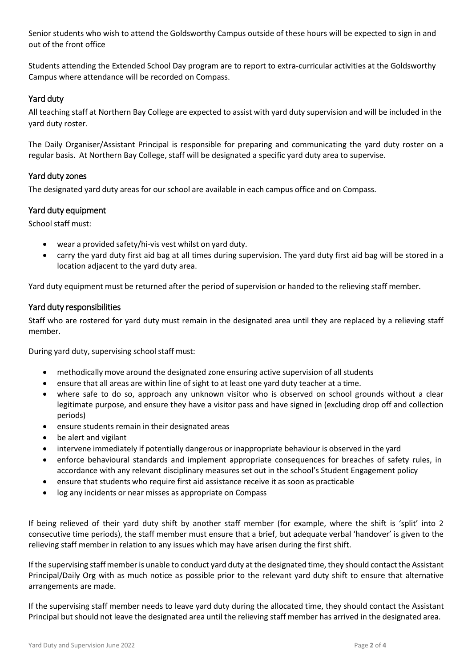Senior students who wish to attend the Goldsworthy Campus outside of these hours will be expected to sign in and out of the front office

Students attending the Extended School Day program are to report to extra-curricular activities at the Goldsworthy Campus where attendance will be recorded on Compass.

## Yard duty

All teaching staff at Northern Bay College are expected to assist with yard duty supervision and will be included in the yard duty roster.

The Daily Organiser/Assistant Principal is responsible for preparing and communicating the yard duty roster on a regular basis. At Northern Bay College, staff will be designated a specific yard duty area to supervise.

## Yard duty zones

The designated yard duty areas for our school are available in each campus office and on Compass.

## Yard duty equipment

School staff must:

- wear a provided safety/hi-vis vest whilst on yard duty.
- carry the yard duty first aid bag at all times during supervision. The yard duty first aid bag will be stored in a location adjacent to the yard duty area.

Yard duty equipment must be returned after the period of supervision or handed to the relieving staff member.

### Yard duty responsibilities

Staff who are rostered for yard duty must remain in the designated area until they are replaced by a relieving staff member.

During yard duty, supervising school staff must:

- methodically move around the designated zone ensuring active supervision of all students
- ensure that all areas are within line of sight to at least one yard duty teacher at a time.
- where safe to do so, approach any unknown visitor who is observed on school grounds without a clear legitimate purpose, and ensure they have a visitor pass and have signed in (excluding drop off and collection periods)
- ensure students remain in their designated areas
- be alert and vigilant
- intervene immediately if potentially dangerous or inappropriate behaviour is observed in the yard
- enforce behavioural standards and implement appropriate consequences for breaches of safety rules, in accordance with any relevant disciplinary measures set out in the school's Student Engagement policy
- ensure that students who require first aid assistance receive it as soon as practicable
- log any incidents or near misses as appropriate on Compass

If being relieved of their yard duty shift by another staff member (for example, where the shift is 'split' into 2 consecutive time periods), the staff member must ensure that a brief, but adequate verbal 'handover' is given to the relieving staff member in relation to any issues which may have arisen during the first shift.

If the supervising staff member is unable to conduct yard duty at the designated time, they should contact the Assistant Principal/Daily Org with as much notice as possible prior to the relevant yard duty shift to ensure that alternative arrangements are made.

If the supervising staff member needs to leave yard duty during the allocated time, they should contact the Assistant Principal but should not leave the designated area until the relieving staff member has arrived in the designated area.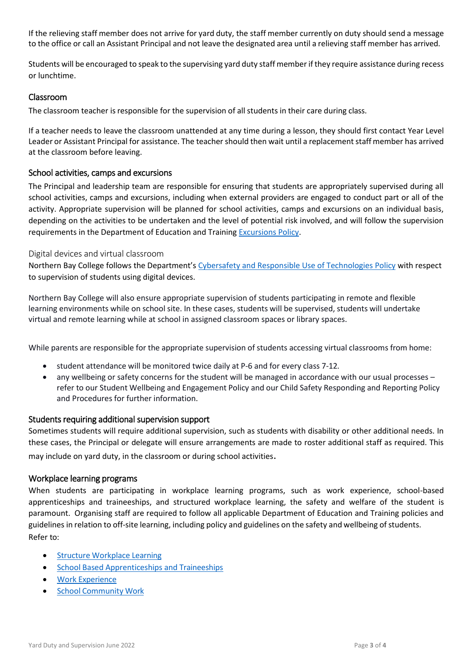If the relieving staff member does not arrive for yard duty, the staff member currently on duty should send a message to the office or call an Assistant Principal and not leave the designated area until a relieving staff member has arrived.

Students will be encouraged to speak to the supervising yard duty staff member ifthey require assistance during recess or lunchtime.

## Classroom

The classroom teacher is responsible for the supervision of all students in their care during class.

If a teacher needs to leave the classroom unattended at any time during a lesson, they should first contact Year Level Leader or Assistant Principal for assistance. The teacher should then wait until a replacement staff member has arrived at the classroom before leaving.

### School activities, camps and excursions

The Principal and leadership team are responsible for ensuring that students are appropriately supervised during all school activities, camps and excursions, including when external providers are engaged to conduct part or all of the activity. Appropriate supervision will be planned for school activities, camps and excursions on an individual basis, depending on the activities to be undertaken and the level of potential risk involved, and will follow the supervision requirements in the Department of Education and Training [Excursions Policy.](https://www2.education.vic.gov.au/pal/excursions/policy)

#### Digital devices and virtual classroom

Northern Bay College follows the Department's [Cybersafety and Responsible Use](https://www2.education.vic.gov.au/pal/cybersafety/policy) of Technologies Policy with respect to supervision of students using digital devices.

Northern Bay College will also ensure appropriate supervision of students participating in remote and flexible learning environments while on school site. In these cases, students will be supervised, students will undertake virtual and remote learning while at school in assigned classroom spaces or library spaces.

While parents are responsible for the appropriate supervision of students accessing virtual classrooms from home:

- student attendance will be monitored twice daily at P-6 and for every class 7-12.
- any wellbeing or safety concerns for the student will be managed in accordance with our usual processes refer to our Student Wellbeing and Engagement Policy and our Child Safety Responding and Reporting Policy and Procedures for further information.

#### Students requiring additional supervision support

Sometimes students will require additional supervision, such as students with disability or other additional needs. In these cases, the Principal or delegate will ensure arrangements are made to roster additional staff as required. This may include on yard duty, in the classroom or during school activities.

#### Workplace learning programs

When students are participating in workplace learning programs, such as work experience, school-based apprenticeships and traineeships, and structured workplace learning, the safety and welfare of the student is paramount. Organising staff are required to follow all applicable Department of Education and Training policies and guidelines in relation to off-site learning, including policy and guidelines on the safety and wellbeing of students. Refer to:

- Structure [Workplace](https://www2.education.vic.gov.au/pal/structured-workplace-learning/policy) Learning
- **•** School Based [Apprenticeships](https://www2.education.vic.gov.au/pal/school-based-apprenticeships-and-traineeships/policy) and Traineeships
- Work [Experience](https://www2.education.vic.gov.au/pal/work-experience/policy)
- School [Community](https://www2.education.vic.gov.au/pal/school-community-work/policy) Work